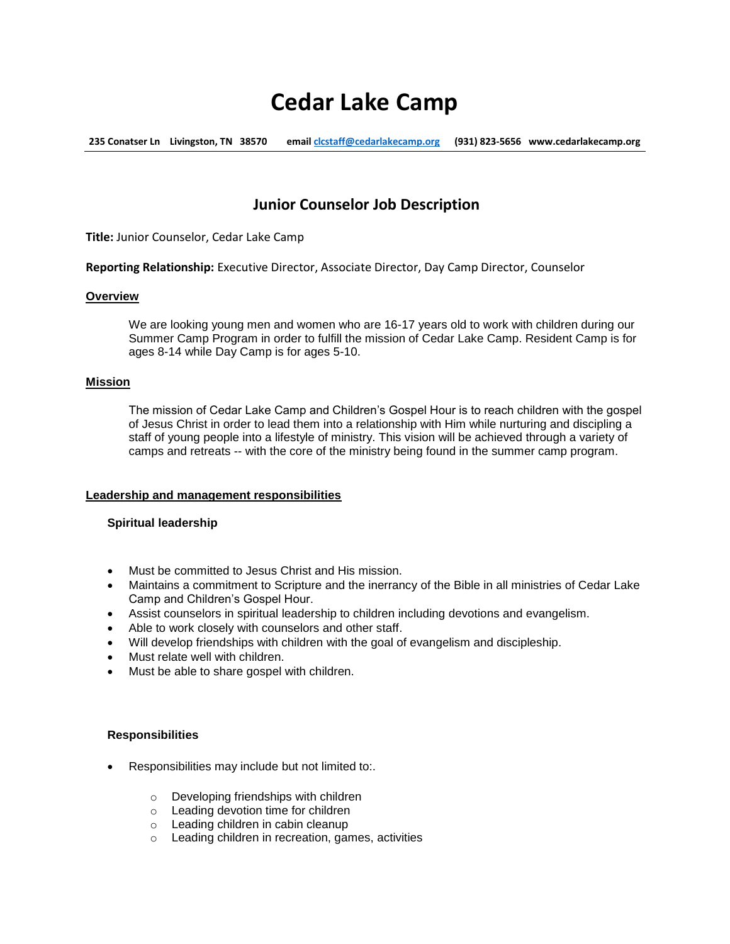# **Cedar Lake Camp**

**235 Conatser Ln Livingston, TN 38570 emai[l clcstaff@cedarlakecamp.org](mailto:clcstaff@cedarlakecamp.org) (931) 823-5656 www.cedarlakecamp.org**

# **Junior Counselor Job Description**

**Title:** Junior Counselor, Cedar Lake Camp

**Reporting Relationship:** Executive Director, Associate Director, Day Camp Director, Counselor

#### **Overview**

We are looking young men and women who are 16-17 years old to work with children during our Summer Camp Program in order to fulfill the mission of Cedar Lake Camp. Resident Camp is for ages 8-14 while Day Camp is for ages 5-10.

#### **Mission**

The mission of Cedar Lake Camp and Children's Gospel Hour is to reach children with the gospel of Jesus Christ in order to lead them into a relationship with Him while nurturing and discipling a staff of young people into a lifestyle of ministry. This vision will be achieved through a variety of camps and retreats -- with the core of the ministry being found in the summer camp program.

# **Leadership and management responsibilities**

# **Spiritual leadership**

- Must be committed to Jesus Christ and His mission.
- Maintains a commitment to Scripture and the inerrancy of the Bible in all ministries of Cedar Lake Camp and Children's Gospel Hour.
- Assist counselors in spiritual leadership to children including devotions and evangelism.
- Able to work closely with counselors and other staff.
- Will develop friendships with children with the goal of evangelism and discipleship.
- Must relate well with children.
- Must be able to share gospel with children.

#### **Responsibilities**

- **•** Responsibilities may include but not limited to:.
	- o Developing friendships with children
	- o Leading devotion time for children
	- o Leading children in cabin cleanup
	- o Leading children in recreation, games, activities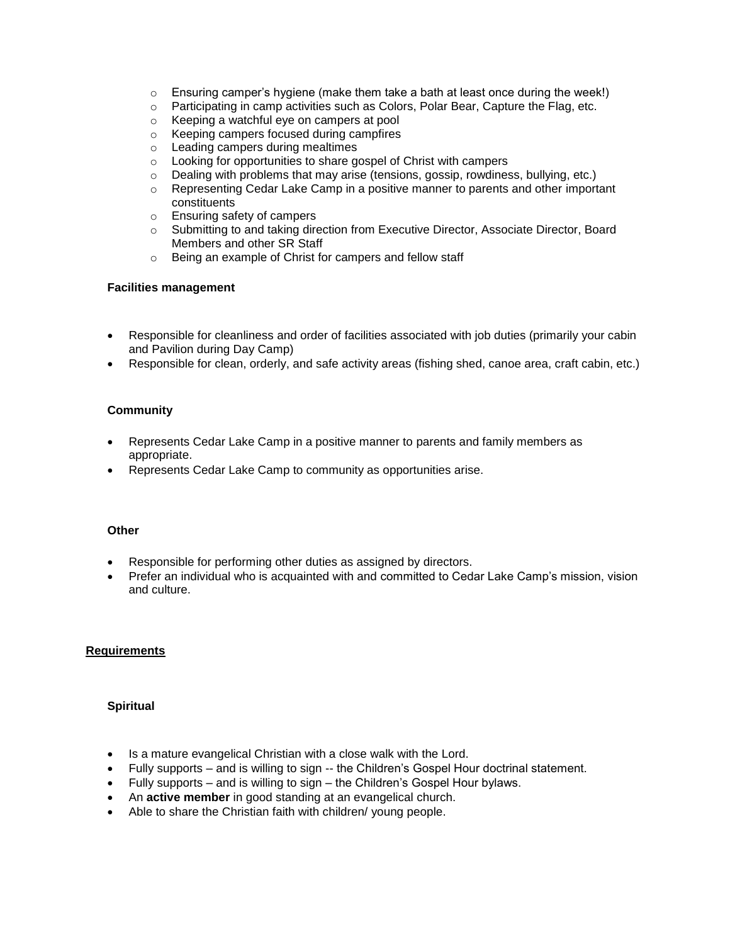- $\circ$  Ensuring camper's hygiene (make them take a bath at least once during the week!)
- $\circ$  Participating in camp activities such as Colors, Polar Bear, Capture the Flag, etc.
- o Keeping a watchful eye on campers at pool
- o Keeping campers focused during campfires
- o Leading campers during mealtimes
- o Looking for opportunities to share gospel of Christ with campers
- $\circ$  Dealing with problems that may arise (tensions, gossip, rowdiness, bullying, etc.)
- $\circ$  Representing Cedar Lake Camp in a positive manner to parents and other important constituents
- o Ensuring safety of campers
- o Submitting to and taking direction from Executive Director, Associate Director, Board Members and other SR Staff
- o Being an example of Christ for campers and fellow staff

#### **Facilities management**

- Responsible for cleanliness and order of facilities associated with job duties (primarily your cabin and Pavilion during Day Camp)
- Responsible for clean, orderly, and safe activity areas (fishing shed, canoe area, craft cabin, etc.)

# **Community**

- Represents Cedar Lake Camp in a positive manner to parents and family members as appropriate.
- Represents Cedar Lake Camp to community as opportunities arise.

#### **Other**

- Responsible for performing other duties as assigned by directors.
- Prefer an individual who is acquainted with and committed to Cedar Lake Camp's mission, vision and culture.

#### **Requirements**

#### **Spiritual**

- Is a mature evangelical Christian with a close walk with the Lord.
- Fully supports and is willing to sign -- the Children's Gospel Hour doctrinal statement.
- Fully supports and is willing to sign the Children's Gospel Hour bylaws.
- An **active member** in good standing at an evangelical church.
- Able to share the Christian faith with children/ young people.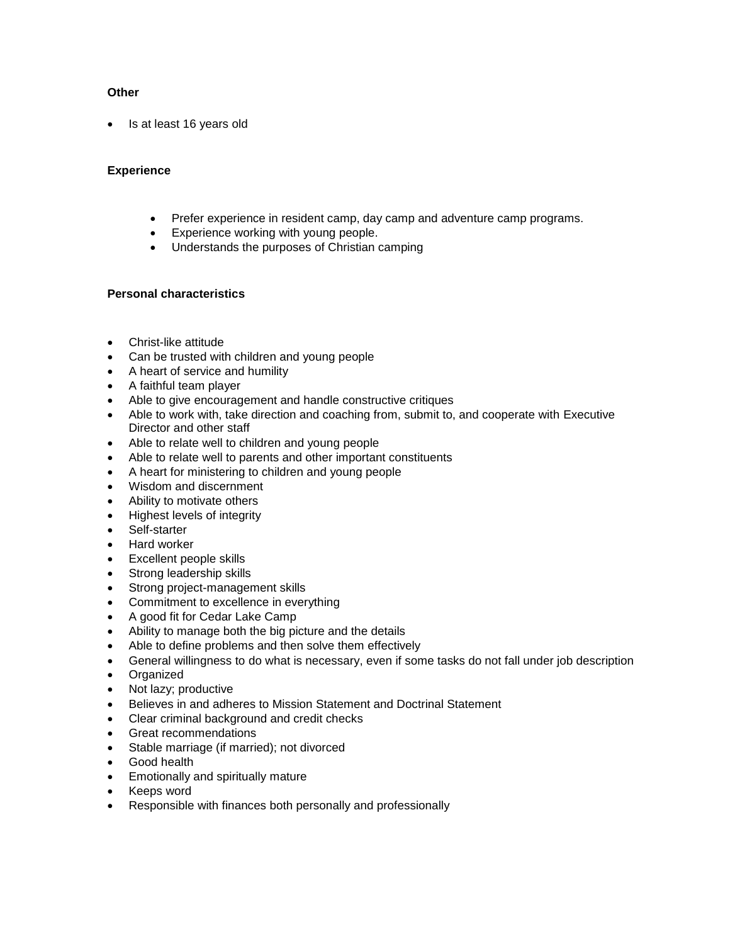# **Other**

• Is at least 16 years old

# **Experience**

- Prefer experience in resident camp, day camp and adventure camp programs.
- Experience working with young people.
- Understands the purposes of Christian camping

# **Personal characteristics**

- Christ-like attitude
- Can be trusted with children and young people
- A heart of service and humility
- A faithful team player
- Able to give encouragement and handle constructive critiques
- Able to work with, take direction and coaching from, submit to, and cooperate with Executive Director and other staff
- Able to relate well to children and young people
- Able to relate well to parents and other important constituents
- A heart for ministering to children and young people
- Wisdom and discernment
- Ability to motivate others
- Highest levels of integrity
- Self-starter
- Hard worker
- Excellent people skills
- Strong leadership skills
- Strong project-management skills
- Commitment to excellence in everything
- A good fit for Cedar Lake Camp
- Ability to manage both the big picture and the details
- Able to define problems and then solve them effectively
- General willingness to do what is necessary, even if some tasks do not fall under job description
- Organized
- Not lazy; productive
- Believes in and adheres to Mission Statement and Doctrinal Statement
- Clear criminal background and credit checks
- Great recommendations
- Stable marriage (if married); not divorced
- Good health
- Emotionally and spiritually mature
- Keeps word
- Responsible with finances both personally and professionally